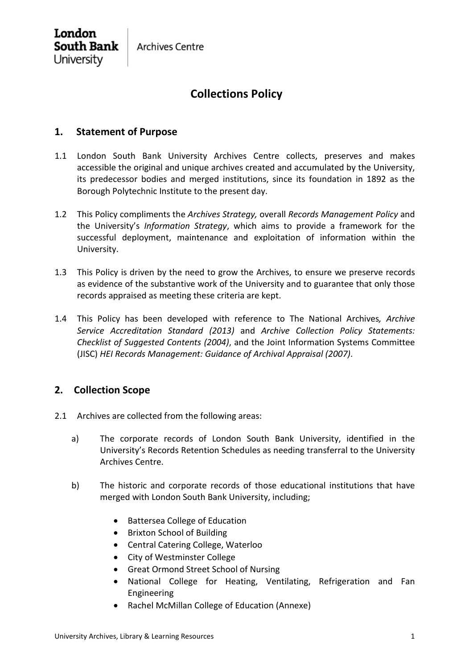**Archives Centre** 

London **South Bank** University

# **Collections Policy**

### **1. Statement of Purpose**

- 1.1 London South Bank University Archives Centre collects, preserves and makes accessible the original and unique archives created and accumulated by the University, its predecessor bodies and merged institutions, since its foundation in 1892 as the Borough Polytechnic Institute to the present day.
- 1.2 This Policy compliments the *Archives Strategy,* overall *Records Management Policy* and the University's *Information Strategy*, which aims to provide a framework for the successful deployment, maintenance and exploitation of information within the University.
- 1.3 This Policy is driven by the need to grow the Archives, to ensure we preserve records as evidence of the substantive work of the University and to guarantee that only those records appraised as meeting these criteria are kept.
- 1.4 This Policy has been developed with reference to The National Archives*, Archive Service Accreditation Standard (2013)* and *Archive Collection Policy Statements: Checklist of Suggested Contents (2004)*, and the Joint Information Systems Committee (JISC) *HEI Records Management: Guidance of Archival Appraisal (2007)*.

## **2. Collection Scope**

- 2.1 Archives are collected from the following areas:
	- a) The corporate records of London South Bank University, identified in the University's Records Retention Schedules as needing transferral to the University Archives Centre.
	- b) The historic and corporate records of those educational institutions that have merged with London South Bank University, including;
		- Battersea College of Education
		- Brixton School of Building
		- Central Catering College, Waterloo
		- City of Westminster College
		- Great Ormond Street School of Nursing
		- National College for Heating, Ventilating, Refrigeration and Fan Engineering
		- Rachel McMillan College of Education (Annexe)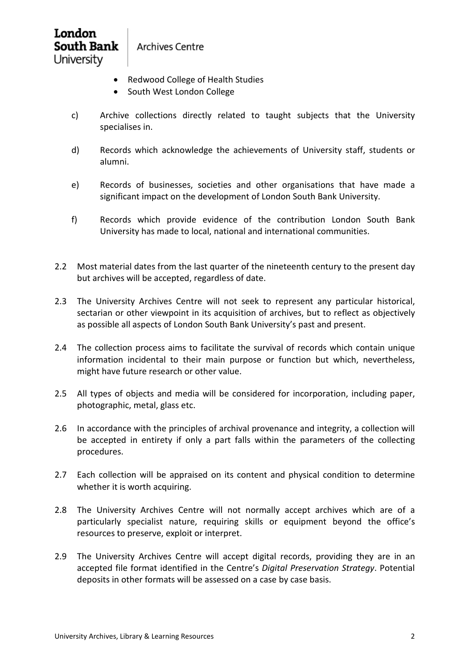## London **South Bank** University

**Archives Centre** 

- Redwood College of Health Studies
- South West London College
- c) Archive collections directly related to taught subjects that the University specialises in.
- d) Records which acknowledge the achievements of University staff, students or alumni.
- e) Records of businesses, societies and other organisations that have made a significant impact on the development of London South Bank University.
- f) Records which provide evidence of the contribution London South Bank University has made to local, national and international communities.
- 2.2 Most material dates from the last quarter of the nineteenth century to the present day but archives will be accepted, regardless of date.
- 2.3 The University Archives Centre will not seek to represent any particular historical, sectarian or other viewpoint in its acquisition of archives, but to reflect as objectively as possible all aspects of London South Bank University's past and present.
- 2.4 The collection process aims to facilitate the survival of records which contain unique information incidental to their main purpose or function but which, nevertheless, might have future research or other value.
- 2.5 All types of objects and media will be considered for incorporation, including paper, photographic, metal, glass etc.
- 2.6 In accordance with the principles of archival provenance and integrity, a collection will be accepted in entirety if only a part falls within the parameters of the collecting procedures.
- 2.7 Each collection will be appraised on its content and physical condition to determine whether it is worth acquiring.
- 2.8 The University Archives Centre will not normally accept archives which are of a particularly specialist nature, requiring skills or equipment beyond the office's resources to preserve, exploit or interpret.
- 2.9 The University Archives Centre will accept digital records, providing they are in an accepted file format identified in the Centre's *Digital Preservation Strategy*. Potential deposits in other formats will be assessed on a case by case basis.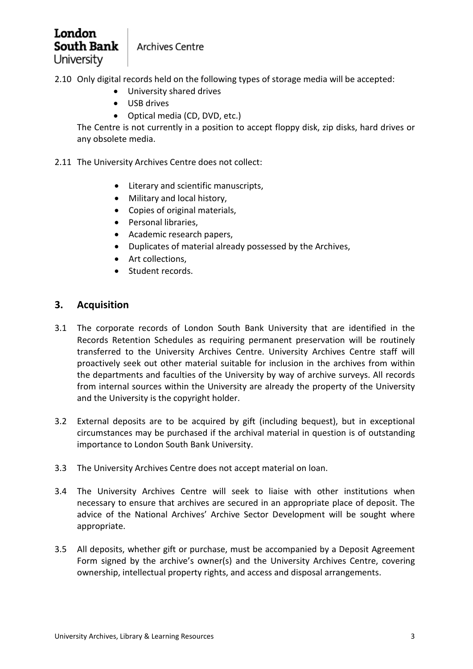# London **South Bank** University

**Archives Centre** 

2.10 Only digital records held on the following types of storage media will be accepted:

- University shared drives
- USB drives
- Optical media (CD, DVD, etc.)

The Centre is not currently in a position to accept floppy disk, zip disks, hard drives or any obsolete media.

- 2.11 The University Archives Centre does not collect:
	- Literary and scientific manuscripts,
	- Military and local history,
	- Copies of original materials,
	- Personal libraries,
	- Academic research papers,
	- Duplicates of material already possessed by the Archives,
	- Art collections,
	- Student records.

#### **3. Acquisition**

- 3.1 The corporate records of London South Bank University that are identified in the Records Retention Schedules as requiring permanent preservation will be routinely transferred to the University Archives Centre. University Archives Centre staff will proactively seek out other material suitable for inclusion in the archives from within the departments and faculties of the University by way of archive surveys. All records from internal sources within the University are already the property of the University and the University is the copyright holder.
- 3.2 External deposits are to be acquired by gift (including bequest), but in exceptional circumstances may be purchased if the archival material in question is of outstanding importance to London South Bank University.
- 3.3 The University Archives Centre does not accept material on loan.
- 3.4 The University Archives Centre will seek to liaise with other institutions when necessary to ensure that archives are secured in an appropriate place of deposit. The advice of the National Archives' Archive Sector Development will be sought where appropriate.
- 3.5 All deposits, whether gift or purchase, must be accompanied by a Deposit Agreement Form signed by the archive's owner(s) and the University Archives Centre, covering ownership, intellectual property rights, and access and disposal arrangements.